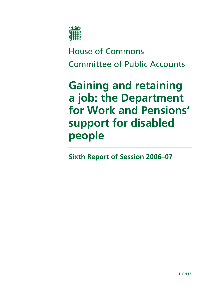

# House of Commons Committee of Public Accounts

# **Gaining and retaining a job: the Department for Work and Pensions' support for disabled people**

**Sixth Report of Session 2006–07**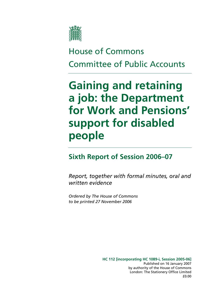

# House of Commons Committee of Public Accounts

# **Gaining and retaining a job: the Department for Work and Pensions' support for disabled people**

## **Sixth Report of Session 2006–07**

*Report, together with formal minutes, oral and written evidence* 

*Ordered by The House of Commons to be printed 27 November 2006* 

> **HC 112 [incorporating HC 1089-i, Session 2005-06]**  Published on 16 January 2007 by authority of the House of Commons London: The Stationery Office Limited £0.00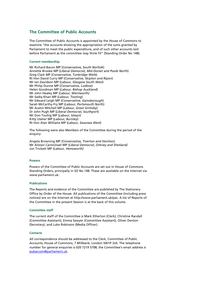### **The Committee of Public Accounts**

The Committee of Public Accounts is appointed by the House of Commons to examine "the accounts showing the appropriation of the sums granted by Parliament to meet the public expenditure, and of such other accounts laid before Parliament as the committee may think fit" (Standing Order No 148).

#### **Current membership**

Mr Richard Bacon MP (*Conservative, South Norfolk*) Annette Brooke MP (*Liberal Democrat, Mid Dorset and Poole North*) Greg Clark MP (*Conservative, Tunbridge Wells*) Rt Hon David Curry MP (*Conservative, Skipton and Ripon*) Mr Ian Davidson MP (*Labour, Glasgow South West*) Mr Philip Dunne MP (*Conservative, Ludlow*) Helen Goodman MP (*Labour, Bishop Auckland*) Mr John Healey MP *(Labour, Wentworth)* Mr Sadiq Khan MP (*Labour, Tooting*) Mr Edward Leigh MP (*Conservative, Gainsborough*) Sarah McCarthy-Fry MP (*Labour, Portsmouth North*) Mr Austin Mitchell MP (*Labour, Great Grimsby*) Dr John Pugh MP (*Liberal Democrat, Southport*) Mr Don Touhig MP (*Labour, Islwyn*) Kitty Ussher MP (*Labour, Burnley*) Rt Hon Alan Williams MP (*Labour, Swansea West*)

The following were also Members of the Committee during the period of the enquiry:

Angela Browning MP *(Conservative, Tiverton and Honiton)*  Mr Alistair Carmichael MP *(Liberal Democrat, Orkney and Shetland)*  Jon Trickett MP *(Labour, Hemsworth)* 

#### **Powers**

Powers of the Committee of Public Accounts are set out in House of Commons Standing Orders, principally in SO No 148. These are available on the Internet via www.parliament.uk.

#### **Publications**

The Reports and evidence of the Committee are published by The Stationery Office by Order of the House. All publications of the Committee (including press notices) are on the Internet at http://www.parliament.uk/pac. A list of Reports of the Committee in the present Session is at the back of this volume.

#### **Committee staff**

The current staff of the Committee is Mark Etherton (Clerk), Christine Randall (Committee Assistant), Emma Sawyer (Committee Assistant), Oliver Denton (Secretary), and Luke Robinson (Media Officer).

#### **Contacts**

All correspondence should be addressed to the Clerk, Committee of Public Accounts, House of Commons, 7 Millbank, London SW1P 3JA. The telephone number for general enquiries is 020 7219 5708; the Committee's email address is pubaccom@parliament.uk.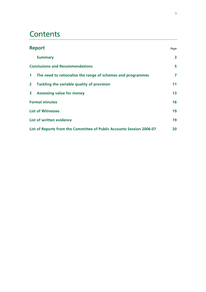## **Contents**

|                                                                       | <b>Report</b>                                               |    |
|-----------------------------------------------------------------------|-------------------------------------------------------------|----|
|                                                                       | <b>Summary</b>                                              | 3  |
|                                                                       | <b>Conclusions and Recommendations</b>                      |    |
| 1 <sup>1</sup>                                                        | The need to rationalise the range of schemes and programmes | 7  |
| $\overline{2}$                                                        | Tackling the variable quality of provision                  | 11 |
| $\overline{\mathbf{3}}$                                               | <b>Assessing value for money</b>                            | 13 |
| <b>Formal minutes</b>                                                 |                                                             | 16 |
|                                                                       | <b>List of Witnesses</b>                                    |    |
|                                                                       | <b>List of written evidence</b>                             |    |
| List of Reports from the Committee of Public Accounts Session 2006-07 |                                                             | 20 |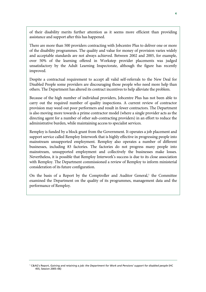of their disability merits further attention as it seems more efficient than providing assistance and support after this has happened.

There are more than 500 providers contracting with Jobcentre Plus to deliver one or more of the disability programmes. The quality and value for money of provision varies widely and acceptable standards are not always achieved. Between 2002 and 2005, for example, over 50% of the learning offered in Workstep provider placements was judged unsatisfactory by the Adult Learning Inspectorate, although the figure has recently improved.

Despite a contractual requirement to accept all valid self-referrals to the New Deal for Disabled People some providers are discouraging those people who need more help than others. The Department has altered its contract incentives to help alleviate the problem.

Because of the high number of individual providers, Jobcentre Plus has not been able to carry out the required number of quality inspections. A current review of contractor provision may weed out poor performers and result in fewer contractors. The Department is also moving more towards a prime contractor model (where a single provider acts as the directing agent for a number of other sub-contracting providers) in an effort to reduce the administrative burden, while maintaining access to specialist services.

Remploy is funded by a block grant from the Government. It operates a job placement and support service called Remploy Interwork that is highly effective in progressing people into mainstream unsupported employment. Remploy also operates a number of different businesses, including 83 factories. The factories do not progress many people into mainstream, unsupported employment and collectively the businesses make losses. Nevertheless, it is possible that Remploy Interwork's success is due to its close association with Remploy. The Department commissioned a review of Remploy to inform ministerial consideration of its future configuration.

On the basis of a Report by the Comptroller and Auditor General,<sup>1</sup> the Committee examined the Department on the quality of its programmes, management data and the performance of Remploy.

<sup>1</sup> C&AG's Report, *Gaining and retaining a job: the Department for Work and Pensions' support for disabled people* (HC 455, Session 2005–06)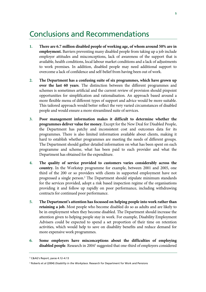### Conclusions and Recommendations

- **1. There are 6.7 million disabled people of working age, of whom around 50% are in employment.** Barriers preventing many disabled people from taking up a job include employer attitudes and misconceptions, lack of awareness of the support that is available, health conditions, local labour market conditions and a lack of adjustments to work premises. In addition, disabled people may need additional support to overcome a lack of confidence and self-belief from having been out of work.
- **2. The Department has a confusing suite of six programmes, which have grown up over the last 60 years**. The distinction between the different programmes and schemes is sometimes artificial and the current review of provision should pinpoint opportunities for simplification and rationalisation. An approach based around a more flexible menu of different types of support and advice would be more suitable. This tailored approach would better reflect the very varied circumstances of disabled people and would ensure a more streamlined suite of services.
- **3. Poor management information makes it difficult to determine whether the programmes deliver value for money.** Except for the New Deal for Disabled People, the Department has patchy and inconsistent cost and outcomes data for its programmes. There is also limited information available about clients, making it hard to establish whether programmes are meeting the needs of different groups. The Department should gather detailed information on what has been spent on each programme and scheme, what has been paid to each provider and what the Department has obtained for the expenditure.
- **4. The quality of service provided to customers varies considerably across the country.** In the Workstep programme for example, between 2001 and 2005, one third of the 200 or so providers with clients in supported employment have not progressed a single person.<sup>2</sup> The Department should stipulate minimum standards for the services provided, adopt a risk based inspection regime of the organisations providing it and follow up rapidly on poor performance, including withdrawing contracts for continued poor performance.
- **5. The Department's attention has focussed on helping people into work rather than retaining a job.** Most people who become disabled do so as adults and are likely to be in employment when they become disabled. The Department should increase the attention given to helping people stay in work. For example, Disability Employment Advisers could be expected to spend a set proportion of their time on retention activities, which would help to save on disability benefits and reduce demand for more expensive work programmes.
- **6. Some employers have misconceptions about the difficulties of employing**  disabled people. Research in 2004<sup>3</sup> suggested that one-third of employers considered

<sup>2</sup> C&AG's Report, paras 4.12–4.13

<sup>3</sup> Roberts et al (2004) *Disability in the Workplace*. Research for Department for Work and Pensions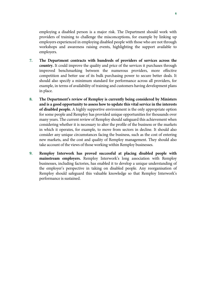employing a disabled person is a major risk. The Department should work with providers of training to challenge the misconceptions, for example by linking up employers experienced in employing disabled people with those who are not through workshops and awareness raising events, highlighting the support available to employers.

- **7. The Department contracts with hundreds of providers of services across the country.** It could improve the quality and price of the services it purchases through improved benchmarking between the numerous providers, more effective competition and better use of its bulk purchasing power to secure better deals. It should also specify a minimum standard for performance across all providers, for example, in terms of availability of training and customers having development plans in place.
- **8. The Department's review of Remploy is currently being considered by Ministers and is a good opportunity to assess how to update this vital service in the interests of disabled people.** A highly supportive environment is the only appropriate option for some people and Remploy has provided unique opportunities for thousands over many years. The current review of Remploy should safeguard this achievement when considering whether it is necessary to alter the profile of the business or the markets in which it operates, for example, to move from sectors in decline. It should also consider any unique circumstances facing the business, such as the cost of entering new markets, and the cost and quality of Remploy management. They should also take account of the views of those working within Remploy businesses.
- **9. Remploy Interwork has proved successful at placing disabled people with mainstream employers.** Remploy Interwork's long association with Remploy businesses, including factories, has enabled it to develop a unique understanding of the employer's perspective in taking on disabled people. Any reorganisation of Remploy should safeguard this valuable knowledge so that Remploy Interwork's performance is sustained.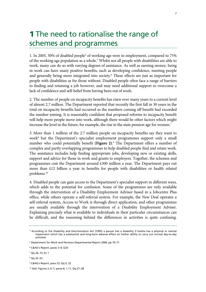## **1** The need to rationalise the range of schemes and programmes

1. In 2005, 50% of disabled people<sup>4</sup> of working age were in employment, compared to 75% of the working age population as a whole.<sup>5</sup> Whilst not all people with disabilities are able to work, many can do so with varying degrees of assistance. As well as earning money, being in work can have many positive benefits, such as developing confidence, meeting people and generally being more integrated into society.<sup>6</sup> These effects are just as important for people with disabilities as for those without. Disabled people often face a range of barriers to finding and retaining a job however, and may need additional support to overcome a lack of confidence and self-belief from having been out of work.

2. The number of people on incapacity benefits has risen over many years to a current level of almost 2.7 million. The Department reported that recently the first fall in 30 years in the total on incapacity benefits had occurred as the numbers coming off benefit had exceeded the number joining. It is reasonably confident that proposed reforms to incapacity benefit will help more people move into work, although there would be other factors which might increase the level in the future, for example, the rise in the state pension age for women.<sup>7</sup>

3. More than 1 million of the 2.7 million people on incapacity benefits say they want to work<sup>8</sup> but the Department's specialist employment programmes support only a small number who could potentially benefit **(Figure 2)**. 9 The Department offers a number of complex and partly overlapping programmes to help disabled people find and retain work. The assistance includes help finding appropriate jobs, developing new or existing skills, support and advice for those in work and grants to employers. Together, the schemes and programmes cost the Department around £300 million a year. The Department pays out more than £12 billion a year in benefits for people with disabilities or health related problems.10

4. Disabled people can gain access to the Department's specialist support in different ways, which adds to the potential for confusion. Some of the programmes are only available through the intervention of a Disability Employment Advisor based in a Jobcentre Plus office, while others operate a self-referral system. For example, the New Deal operates a self-referral system, Access to Work is through direct application, and other programmes are usually available through the intervention of a Disability Employment Adviser. Explaining precisely what is available to individuals in their particular circumstances can be difficult, and the reasoning behind the differences in activities is quite confusing.

9 C&AG's Report, para 23; Qq 9, 32

<sup>4</sup> According to the Disability and Discrimination Act (1995) a person has a disability if he/she has a physical or mental impairment which has a substantial and long-term adverse effect on his/her ability to carry out normal day-to-day activities.

<sup>5</sup> Department for Work and Pensions Departmental Report 2006, pp 70–71

<sup>6</sup> C&AG's Report, paras 3–4; Q33

<sup>&</sup>lt;sup>7</sup> Qq 26, 72; Ev 1

<sup>8</sup> Qq 32–33

<sup>10</sup> *ibid*, Figures 3, 6–7; paras 8, 1.11; Qq 27–28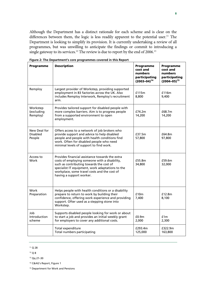Although the Department has a distinct rationale for each scheme and is clear on the differences between them, the logic is less readily apparent to the potential user.<sup>11</sup> The Department is looking to simplify its provision. It is currently undertaking a review of all programmes, but was unwilling to anticipate the findings or commit to introducing a single gateway to its services.<sup>12</sup> The review is due to report by the end of 2006.<sup>13</sup>

| Programme                                 | <b>Description</b>                                                                                                                                                                                                                                                           | Programme<br>cost and<br>numbers<br>participating<br>$(2003 - 04)^{14}$ | Programme<br>cost and<br>numbers<br>participating<br>$(2004 - 05)^{15}$ |
|-------------------------------------------|------------------------------------------------------------------------------------------------------------------------------------------------------------------------------------------------------------------------------------------------------------------------------|-------------------------------------------------------------------------|-------------------------------------------------------------------------|
| Remploy                                   | Largest provider of Workstep, providing supported<br>employment in 83 factories across the UK. Also<br>includes Remploy Interwork, Remploy's recruitment<br>arm.                                                                                                             | £115m<br>8,800                                                          | £116m<br>9,400                                                          |
| Workstep<br>(excluding<br>Remploy)        | Provides tailored support for disabled people with<br>more complex barriers. Aim is to progress people<br>from a supported environment to open<br>employment.                                                                                                                | £74.2m<br>14,200                                                        | £68.7m<br>14,200                                                        |
| New Deal for<br><b>Disabled</b><br>People | Offers access to a network of job brokers who<br>provide support and advice to help disabled<br>people and people with health conditions find<br>work. Often for disabled people who need<br>minimal levels of support to find work.                                         | £37.5m<br>57,800                                                        | £64.8m<br>97,800                                                        |
| Access to<br>Work                         | Provides financial assistance towards the extra<br>costs of employing someone with a disability,<br>such as contributing towards the cost of<br>specialist IT equipment, work adaptations to the<br>workplace, some travel costs and the cost of<br>having a support worker. | £55.8m<br>34,800                                                        | £59.6m<br>32,000                                                        |
| Work<br>Preparation                       | Helps people with health conditions or a disability<br>prepare to return to work by building their<br>confidence, offering work experience and providing<br>support. Ofter used as a stepping stone into<br>Workstep.                                                        | £10m<br>7,400                                                           | £12.8m<br>8,100                                                         |
| Job<br><b>Introduction</b><br>scheme      | Supports disabled people looking for work or about<br>to start a job and provides an initial weekly grant<br>for employers to cover any additional costs.                                                                                                                    | £0.9 <sub>m</sub><br>2,000                                              | f1m<br>2,300                                                            |
|                                           | Total expenditure<br>Total numbers participating                                                                                                                                                                                                                             | £293.4m<br>125,000                                                      | £322.9m<br>163,800                                                      |

**Figure 2: The Department's core programmes covered in this Report** 

- 13 Qq 27–30
- <sup>14</sup> C&AG's Report, Figure 1

<sup>15</sup> Department for Work and Pensions

<sup>11</sup> Q 28

<sup>12</sup> Q 8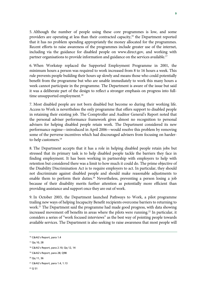5. Although the number of people using these core programmes is low, and some providers are operating at less than their contracted capacity,<sup>16</sup> the Department reported that it has no problem spending appropriately the money allocated for the programmes. Recent efforts to raise awareness of the programmes include greater use of the internet, including via the guidance for disabled people on www.direct.gov, and working with partner organisations to provide information and guidance on the services available.<sup>17</sup>

6. When Workstep replaced the Supported Employment Programme in 2001, the minimum hours a person was required to work increased from 8 to 16 hours a week. This rule prevents people building their hours up slowly and means those who could potentially benefit from the programme but who are unable immediately to work this many hours a week cannot participate in the programme. The Department is aware of the issue but said it was a deliberate part of the design to reflect a stronger emphasis on progress into fulltime unsupported employment.<sup>18</sup>

7. Most disabled people are not born disabled but become so during their working life. Access to Work is nevertheless the only programme that offers support to disabled people in retaining their existing job. The Comptroller and Auditor General's Report noted that the personal adviser performance framework gives almost no recognition to personal advisers for helping disabled people retain work. The Department considered its new performance regime—introduced in April 2006—would resolve this problem by removing some of the perverse incentives which had discouraged advisers from focusing on harderto-help customers.19

8. The Department accepts that it has a role in helping disabled people retain jobs but stressed that its primary task is to help disabled people tackle the barriers they face in finding employment. It has been working in partnership with employers to help with retention but considered there was a limit to how much it could do. The prime objective of the Disability Discrimination Act is to require employers to act. In particular, they should not discriminate against disabled people and should make reasonable adjustments to enable them to perform their duties.<sup>20</sup> Nevertheless, preventing a person losing a job because of their disability merits further attention as potentially more efficient than providing assistance and support once they are out of work.

9. In October 2003, the Department launched Pathways to Work, a pilot programme trailing new ways of helping Incapacity Benefit recipients overcome barriers to returning to work.21 The Department said the programme had made good progress, with data showing increased movement off benefits in areas where the pilots were running.<sup>22</sup> In particular, it considers a series of "work focused interviews" as the best way of pointing people towards available services. The Department is also seeking to raise awareness that most people will

17 Qq 10, 28

<sup>16</sup> C&AG's Report, para 1.4

<sup>18</sup> C&AG's Report, para 2.10; Qq 12, 14

<sup>19</sup> C&AG's Report, para 28; Q98

<sup>20</sup> Qq 11, 36

<sup>21</sup> C&AG's Report, para 1.4, 1.13

<sup>22</sup> Q 51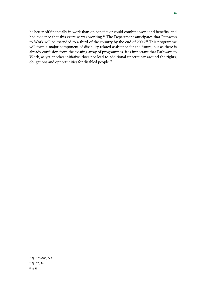be better off financially in work than on benefits or could combine work and benefits, and had evidence that this exercise was working.<sup>23</sup> The Department anticipates that Pathways to Work will be extended to a third of the country by the end of 2006.<sup>24</sup> This programme will form a major component of disability related assistance for the future, but as there is already confusion from the existing array of programmes, it is important that Pathways to Work, as yet another initiative, does not lead to additional uncertainty around the rights, obligations and opportunities for disabled people.25

<sup>23</sup> Qq 101–103; Ev 2

<sup>24</sup> Qq 26, 44

<sup>25</sup> Q 13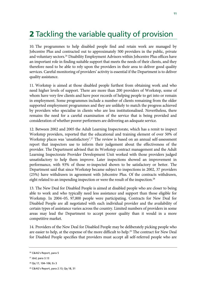# 2 Tackling the variable quality of provision

10. The programmes to help disabled people find and retain work are managed by Jobcentre Plus and contracted out to approximately 500 providers in the public, private and voluntary sectors.<sup>26</sup> Disability Employment Advisors within Jobcentre Plus offices have an important role in finding suitable support that meets the needs of their clients, and they therefore need to be able to rely upon the providers in their area to deliver good quality services. Careful monitoring of providers' activity is essential if the Department is to deliver quality assistance.

11. Workstep is aimed at those disabled people furthest from obtaining work and who need higher levels of support. There are more than 200 providers of Workstep, some of whom have very few clients and have poor records of helping people to get into or remain in employment. Some programmes include a number of clients remaining from the older supported employment programmes and they are unlikely to match the progress achieved by providers who specialise in clients who are less institutionalised. Nevertheless, there remains the need for a careful examination of the service that is being provided and consideration of whether poorer performers are delivering an adequate service.

12. Between 2002 and 2005 the Adult Learning Inspectorate, which has a remit to inspect Workstep providers, reported that the educational and training element of over 50% of Workstep places was 'unsatisfactory'.<sup>27</sup> The review is based on an annual self-assessment report that inspectors use to inform their judgement about the effectiveness of the provider. The Department advised that its Workstep contract management and the Adult Learning Inspectorate Provider Development Unit worked with those providers judged unsatisfactory to help them improve. Later inspections showed an improvement in performance, with 93% of those re-inspected shown to be satisfactory or better. The Department said that since Workstep became subject to inspections in 2002, 37 providers (25%) have withdrawn in agreement with Jobcentre Plus. Of the contracts withdrawn, eight related to an impending inspection or were the result of the inspection.<sup>28</sup>

13. The New Deal for Disabled People is aimed at disabled people who are closer to being able to work and who typically need less assistance and support than those eligible for Workstep. In 2004–05, 97,800 people were participating. Contracts for New Deal for Disabled People are all negotiated with each individual provider and the availability of certain types of assistance varies across the country. Limited numbers of providers in some areas may lead the Department to accept poorer quality than it would in a more competitive market.

14. Providers of the New Deal for Disabled People may be deliberately picking people who are easier to help, at the expense of the more difficult to help.<sup>29</sup> The contract for New Deal for Disabled People specifies that providers must accept all self-referred people who are

<sup>26</sup> C&AG's Report, para 5

<sup>27</sup> *ibid*, para 3.13

<sup>28</sup> Qq 17, 104–106; Ev 3

<sup>29</sup> C&AG's Report, para 2.13; Qq 18, 31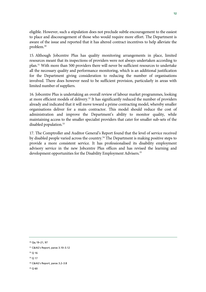eligible. However, such a stipulation does not preclude subtle encouragement to the easiest to place and discouragement of those who would require more effort. The Department is aware of the issue and reported that it has altered contract incentives to help alleviate the problem.30

15. Although Jobcentre Plus has quality monitoring arrangements in place, limited resources meant that its inspections of providers were not always undertaken according to plan.31 With more than 500 providers there will never be sufficient resources to undertake all the necessary quality and performance monitoring, which is an additional justification for the Department giving consideration to reducing the number of organisations involved. There does however need to be sufficient provision, particularly in areas with limited number of suppliers.

16. Jobcentre Plus is undertaking an overall review of labour market programmes, looking at more efficient models of delivery.<sup>32</sup> It has significantly reduced the number of providers already and indicated that it will move toward a prime contracting model, whereby smaller organisations deliver for a main contractor. This model should reduce the cost of administration and improve the Department's ability to monitor quality, while maintaining access to the smaller specialist providers that cater for smaller sub-sets of the disabled population.<sup>33</sup>

17. The Comptroller and Auditor General's Report found that the level of service received by disabled people varied across the country.<sup>34</sup> The Department is making positive steps to provide a more consistent service. It has professionalised its disability employment advisory service in the new Jobcentre Plus offices and has revised the learning and development opportunities for the Disability Employment Advisers.<sup>35</sup>

<sup>30</sup> Qq 19–21, 97

<sup>31</sup> C&AG's Report, paras 3.10–3.12

<sup>32</sup> Q 16

<sup>33</sup> Q 17

<sup>34</sup> C&AG's Report, paras 3.2–3.8

<sup>35</sup> Q 60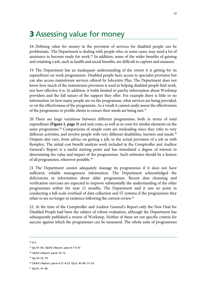## **3** Assessing value for money

18. Defining value for money in the provision of services for disabled people can be problematic. The Department is dealing with people who, in some cases, may need a lot of assistance to become ready for work.<sup>36</sup> In addition, some of the wider benefits of gaining and retaining a job, such as health and social benefits, are difficult to capture and measure.

19. The Department has an inadequate understanding of the return it is getting for its expenditure on work programmes. Disabled people have access to specialist provision but can also access mainstream services offered by Jobcentre Plus. The Department does not know how much of the mainstream provision is used in helping disabled people find work, nor how effective it is. In addition, it holds limited or patchy information about Workstep providers and the full nature of the support they offer. For example there is little or no information on how many people are on the programme, what services are being provided, or on the effectiveness of the programme. As a result it cannot easily assess the effectiveness of the programme or profile clients to ensure their needs are being met.<sup>37</sup>

20. There are large variations between different programmes, both in terms of total expenditure **(Figure 1, page 3)** and unit costs, as well as in costs for similar elements on the same programme.<sup>38</sup> Comparisons of simple costs are misleading since they refer to very different activities, and involve people with very different disabilities, barriers and needs.<sup>39</sup> Outputs also vary, from advice on getting a job, to the actual provision of a job as with Remploy. The initial cost benefit analysis work included in the Comptroller and Auditor General's Report is a useful starting point and has stimulated a degree of interest in determining the value and impact of the programmes. Such estimates should be a feature of all programmes, wherever possible.40

21. The Department cannot adequately manage its programmes if it does not have sufficient, reliable management information. The Department acknowledged the deficiencies in information about older programmes. Recent data cleansing and verification exercises are expected to improve substantially the understanding of the older programmes within the next 12 months. The Department said it saw no point in conducting a full-scale overhaul of data collection and IT systems if the programmes they relate to are no longer in existence following the current review.<sup>41</sup>

22. At the time of the Comptroller and Auditor General's Report only the New Deal for Disabled People had been the subject of robust evaluation, although the Department has subsequently published a review of Workstep. Neither of these set out specific criteria for success against which the programmes can be measured. The whole suite of programmes

36 Q 5

39 Qq 74–75, 79

41 Qq 61, 91–96

<sup>37</sup> Qq 41–44, C&AG's Report, para 4.7–4.10

<sup>38</sup> C&AG's Report, paras 10–12

<sup>40</sup> C&AG's Report, paras 4.21–4.27; Qq 6, 45–49, 51–53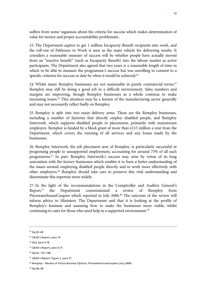suffers from some vagueness about the criteria for success which makes determination of value for money and proper accountability problematic.

23. The Department aspires to get 1 million Incapacity Benefit recipients into work, and the roll-out of Pathways to Work is seen as the main vehicle for delivering results. It considers a reasonable measure of success will be whether people have actually moved from an "inactive benefit" (such as Incapacity Benefit) into the labour market as active participants. The Department also agreed that two years is a reasonable length of time in which to be able to measure the programme's success but was unwilling to commit to a specific criterion for success or date by when it would be achieved.<sup>42</sup>

24. Whilst many Remploy businesses are not sustainable in purely commercial terms,<sup>43</sup> Remploy may still be doing a good job in a difficult environment. Sales numbers and margins are improving, though Remploy businesses as a whole continue to make increasing losses.44 This situation may be a feature of the manufacturing sector generally and may not necessarily reflect badly on Remploy.

25. Remploy is split into two main delivery arms. These are the Remploy businesses, including a number of factories that directly employ disabled people, and Remploy Interwork, which supports disabled people in placements, primarily with mainstream employers. Remploy is funded by a block grant of more than £115 million a year from the Department, which covers the running of all services and any losses made by the businesses.

26. Remploy Interwork, the job placement arm of Remploy, is particularly successful in progressing people to unsupported employment, accounting for around 75% of all such progressions.45 In part, Remploy Interwork's success may arise by virtue of its long association with the factory businesses which enables it to have a better understanding of the issues around employing disabled people directly and to work more effectively with other employers.46 Remploy should take care to preserve this vital understanding and disseminate this expertise more widely.

27. In the light of the recommendations in the Comptroller and Auditor General's Report,47 the Department commissioned a review of Remploy from PricewaterhouseCoopers which reported in July 2006.<sup>48</sup> The outcome of the review will inform advice to Ministers. The Department said that it is looking at the profile of Remploy's business and assessing how to make the businesses more viable, whilst continuing to cater for those who need help in a supported environment.<sup>49</sup>

<sup>42</sup> Qq 65–69

<sup>43</sup> C&AG's Report, para 14

<sup>44</sup> *ibid*, para 4.18

<sup>45</sup> C&AG's Report, para 4.15

<sup>46</sup> Qq 81, 107–108

<sup>47</sup> C&AG's Report, Figure 2, para 31

<sup>48</sup> *Remploy – Review of Future Business Options,* PricewaterhouseCoopers (July 2006)

<sup>49</sup> Qq 80, 84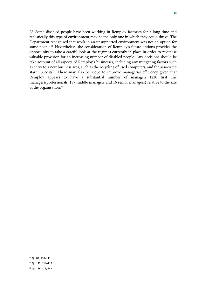28. Some disabled people have been working in Remploy factories for a long time and realistically this type of environment may be the only one in which they could thrive. The Department recognised that work in an unsupported environment was not an option for some people.<sup>50</sup> Nevertheless, the consideration of Remploy's future options provides the opportunity to take a careful look at the regimes currently in place in order to revitalise valuable provision for an increasing number of disabled people. Any decisions should be take account of all aspects of Remploy's businesses, including any mitigating factors such as entry to a new business area, such as the recycling of used computers, and the associated start up costs.<sup>51</sup> There may also be scope to improve managerial efficiency given that Remploy appears to have a substantial number of managers (220 first line managers/professionals, 187 middle managers and 16 senior managers) relative to the size of the organisation.52

<sup>50</sup> Qq 82, 110–111

<sup>51</sup> Qq 112, 114–115

<sup>52</sup> Qq 116–119; Ev 4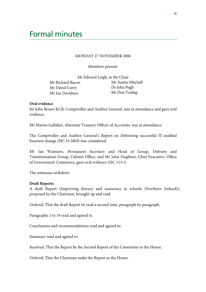#### MONDAY 27 NOVEMBER 2006

Members present:

| Mr Edward Leigh, in the Chair |                    |  |
|-------------------------------|--------------------|--|
| Mr Richard Bacon              | Mr Austin Mitchell |  |
| Mr David Curry                | Dr John Pugh       |  |
| Mr Ian Davidson               | Mr Don Touhig      |  |

#### **Oral evidence**

Sir John Bourn KCB, Comptroller and Auditor General, was in attendance and gave oral evidence.

Mr Marius Gallaher, Alternate Treasury Officer of Accounts, was in attendance.

The Comptroller and Auditor General's Report on Delivering successful IT-enabled business change (HC 33-I&II) was considered.

Mr Ian Watmore, Permanent Secretary and Head of Group, Delivery and Transformation Group, Cabinet Office, and Mr John Oughton, Chief Executive, Office of Government Commerce, gave oral evidence (HC 113-i).

The witnesses withdrew.

#### **Draft Reports**

A draft Report (Improving literacy and numeracy in schools (Northern Ireland)), proposed by the Chairman, brought up and read.

*Ordered*, That the draft Report be read a second time, paragraph by paragraph.

Paragraphs 1 to 19 read and agreed to.

Conclusions and recommendations read and agreed to.

Summary read and agreed to.

*Resolved*, That the Report be the Second Report of the Committee to the House.

*Ordered*, That the Chairman make the Report to the House.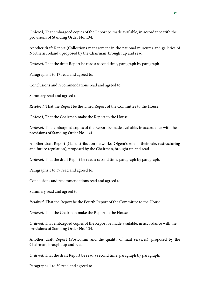*Ordered*, That embargoed copies of the Report be made available, in accordance with the provisions of Standing Order No. 134.

Another draft Report (Collections management in the national museums and galleries of Northern Ireland), proposed by the Chairman, brought up and read.

*Ordered*, That the draft Report be read a second time, paragraph by paragraph.

Paragraphs 1 to 17 read and agreed to.

Conclusions and recommendations read and agreed to.

Summary read and agreed to.

*Resolved*, That the Report be the Third Report of the Committee to the House.

*Ordered*, That the Chairman make the Report to the House.

*Ordered*, That embargoed copies of the Report be made available, in accordance with the provisions of Standing Order No. 134.

Another draft Report (Gas distribution networks: Ofgem's role in their sale, restructuring and future regulation), proposed by the Chairman, brought up and read.

*Ordered*, That the draft Report be read a second time, paragraph by paragraph.

Paragraphs 1 to 39 read and agreed to.

Conclusions and recommendations read and agreed to.

Summary read and agreed to.

*Resolved*, That the Report be the Fourth Report of the Committee to the House.

*Ordered*, That the Chairman make the Report to the House.

*Ordered*, That embargoed copies of the Report be made available, in accordance with the provisions of Standing Order No. 134.

Another draft Report (Postcomm and the quality of mail services), proposed by the Chairman, brought up and read.

*Ordered*, That the draft Report be read a second time, paragraph by paragraph.

Paragraphs 1 to 30 read and agreed to.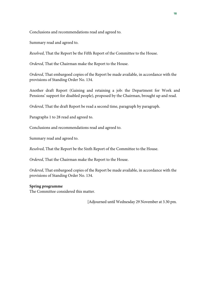Conclusions and recommendations read and agreed to.

Summary read and agreed to.

*Resolved*, That the Report be the Fifth Report of the Committee to the House.

*Ordered*, That the Chairman make the Report to the House.

*Ordered*, That embargoed copies of the Report be made available, in accordance with the provisions of Standing Order No. 134.

Another draft Report (Gaining and retaining a job: the Department for Work and Pensions' support for disabled people), proposed by the Chairman, brought up and read.

*Ordered*, That the draft Report be read a second time, paragraph by paragraph.

Paragraphs 1 to 28 read and agreed to.

Conclusions and recommendations read and agreed to.

Summary read and agreed to.

*Resolved*, That the Report be the Sixth Report of the Committee to the House.

*Ordered*, That the Chairman make the Report to the House.

*Ordered*, That embargoed copies of the Report be made available, in accordance with the provisions of Standing Order No. 134.

### **Spring programme**

The Committee considered this matter.

[Adjourned until Wednesday 29 November at 3.30 pm.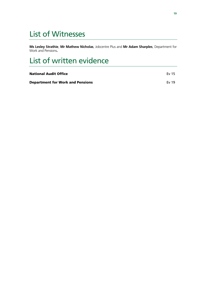### List of Witnesses

**Ms Lesley Strathie**, **Mr Mathew Nicholas**, Jobcentre Plus and **Mr Adam Sharples**, Department for Work and Pensions**.** 

## List of written evidence

| <b>National Audit Office</b>            | <b>Fv 15</b> |
|-----------------------------------------|--------------|
| <b>Department for Work and Pensions</b> | <b>Fv 19</b> |